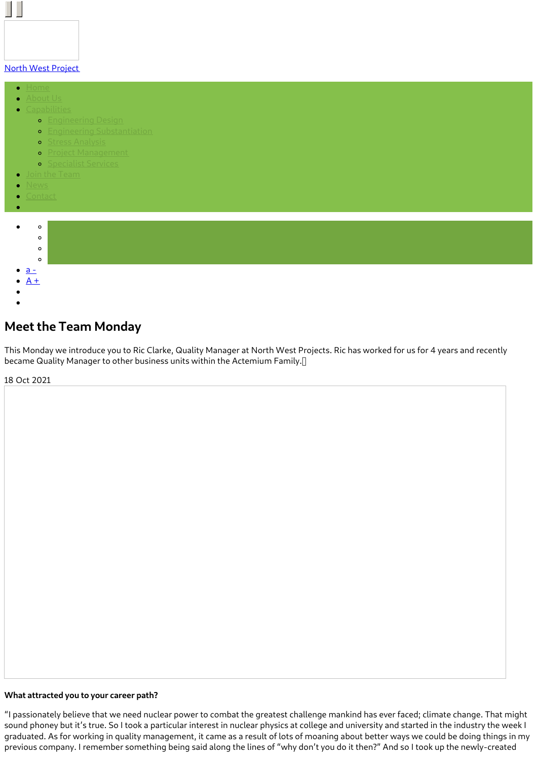#### North West [Project](https://www.northwestprojects.co.uk/)

- $\bullet$
- 
- - **o** [Engineering](https://www.northwestprojects.co.uk/capabilities/engineering-design/) Design
		- **•** Engineering [Substantiation](https://www.northwestprojects.co.uk/capabilities/engineering-substantiation/)
		- **o** Stress [Analysis](https://www.northwestprojects.co.uk/capabilities/stress-analysis/)
		- **o** Project [Management](https://www.northwestprojects.co.uk/capabilities/project-management/)
		- **o** [Specialist](https://www.northwestprojects.co.uk/capabilities/specialist-services/) Services
	-
- 
- 



# **Meet the Team Monday**

This Monday we introduce you to Ric Clarke, Quality Manager at North West Projects. Ric has worked for us for 4 years and recently became Quality Manager to other business units within the Actemium Family.

18 Oct 2021

#### **What attracted you to your career path?**

"I passionately believe that we need nuclear power to combat the greatest challenge mankind has ever faced; climate change. That might sound phoney but it's true. So I took a particular interest in nuclear physics at college and university and started in the industry the week I graduated. As for working in quality management, it came as a result of lots of moaning about better ways we could be doing things in my previous company. I remember something being said along the lines of "why don't you do it then?" And so I took up the newly-created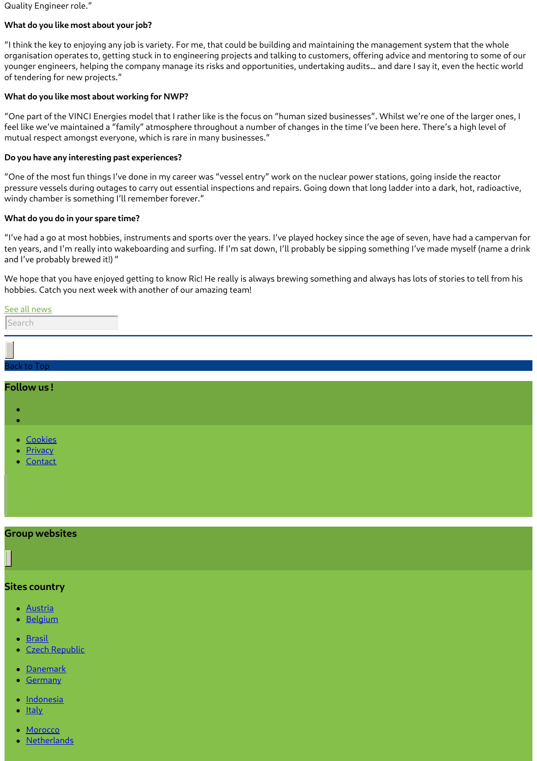Quality Engineer role."

## **What do you like most about your job?**

"I think the key to enjoying any job is variety. For me, that could be building and maintaining the management system that the whole organisation operates to, getting stuck in to engineering projects and talking to customers, offering advice and mentoring to some of our younger engineers, helping the company manage its risks and opportunities, undertaking audits… and dare I say it, even the hectic world of tendering for new projects."

#### **What do you like most about working for NWP?**

"One part of the VINCI Energies model that I rather like is the focus on "human sized businesses". Whilst we're one of the larger ones, I feel like we've maintained a "family" atmosphere throughout a number of changes in the time I've been here. There's a high level of mutual respect amongst everyone, which is rare in many businesses."

## **Do you have any interesting past experiences?**

"One of the most fun things I've done in my career was "vessel entry" work on the nuclear power stations, going inside the reactor pressure vessels during outages to carry out essential inspections and repairs. Going down that long ladder into a dark, hot, radioactive, windy chamber is something I'll remember forever."

## **What do you do in your spare time?**

"I've had a go at most hobbies, instruments and sports over the years. I've played hockey since the age of seven, have had a campervan for ten years, and I'm really into wakeboarding and surfing. If I'm sat down, I'll probably be sipping something I've made myself (name a drink and I've probably brewed it!) "

We hope that you have enjoyed getting to know Ric! He really is always brewing something and always has lots of stories to tell from his hobbies. Catch you next week with another of our amazing team!

# **Group websites**

# **Sites country**

- **[Austria](http://www.vinci-energies.at/)**
- **[Belgium](http://www.vinci-energies.be/)**
- [Brasil](http://www.vinci-energies.com.br/en/home/)
- Czech [Republic](http://www.vinci-energies.cz/)
- [Danemark](http://www.vinci-energies.dk/)
- [Germany](http://www.vinci-energies.de/)
- **[Indonesia](http://www.vinci-energies.co.id/)**
- **[Italy](http://www.vinci-energies.it/)**
- **[Morocco](http://www.vinci-energies.ma/)**
- [Netherlands](http://www.vinci-energies.nl/)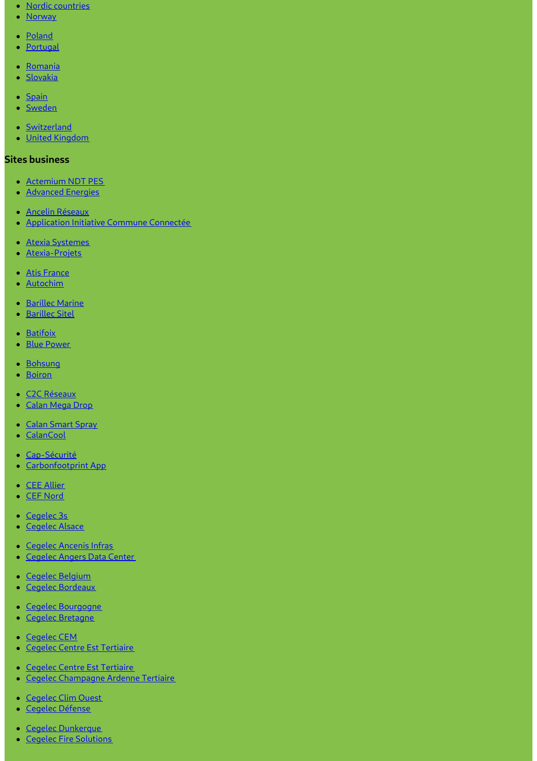- Nordic [countries](http://www.vinci-energies.dk/)
- [Norway](http://www.vinci-energies.no/)
- [Poland](http://www.vinci-energies.pl)
- [Portugal](http://www.vinci-energies.pt/)
- [Romania](http://www.vinci-energies.ro/)
- [Slovakia](http://www.vinci-energies.sk/)
- [Spain](http://www.vinci-energies.es/)
- [Sweden](http://www.vinci-energies.se/)
- [Switzerland](http://www.vinci-energies.ch/)
- United [Kingdom](http://www.vinci-energies.co.uk/)

# **Sites business**

- [Actemium](https://www.cegelec-ndt-pes.com) NDT PES
- [Advanced](http://www.advanced-energies.com/) Energies
- Ancelin [Réseaux](http://www.ancelinreseaux.fr/)
- [Application](https://www.applications-icc.fr) Initiative Commune Connectée
- Atexia [Systemes](https://www.atexia-systemes.fr/)
- [Atexia-Projets](https://www.atexia-projets.fr/)
- Atis [France](https://www.atis-france.fr)
- [Autochim](http://www.autochim.com/fr/)
- [Barillec](http://www.barillec-marine.com/) Marine
- [Barillec](http://www.barillec-sitel.fr) Sitel
- [Batifoix](https://www.batifoix.fr)
- Blue [Power](https://www.blue-power.it/)
- [Bohsung](https://www.bohsung.de/)
- [Boiron](https://www.sas-boiron.com)
- C2C [Réseaux](https://www.c2c-reseaux.fr)
- [Calan](https://www.calanmegadrop.de/) Mega Drop
- Calan [Smart](https://www.calansmartspray.de/) Spray
- [CalanCool](https://www.calancool.de/)
- [Cap-Sécurité](https://www.capsecurite.com/)
- [Carbonfootprint](https://www.carbonfootprintapp.de/) App
- CEE [Allier](http://www.ceeallier.fr/)
- CEF [Nord](https://www.cefnord.com)
- [Cegelec](http://www.cegelec3s.fr) 3s
- [Cegelec](https://www.cegelec-alsace.com) Alsace
- [Cegelec](https://www.cegelec-ancenis-infras.fr) Ancenis Infras
- [Cegelec](http://www.cegelec-angers-data-center.fr/) Angers Data Center
- Cegelec [Belgium](http://www.cegelec.be/)
- Cegelec [Bordeaux](https://www.cegelec-bordeaux.fr)
- Cegelec [Bourgogne](https://www.cegelec-bourgogne.com)
- Cegelec [Bretagne](http://www.cegelec-bretagne.fr/fr/)
- [Cegelec](https://www.cegelec-cem.fr/) CEM
- **Cegelec Centre Est [Tertiaire](http://www.cegelec-lyon.com/)**
- Cegelec Centre Est [Tertiaire](https://www.cegelec-centre-est-tertiaire.fr/)
- Cegelec [Champagne](https://www.cegelec-champagne-ardenne-tertiaire.com) Ardenne Tertiaire
- [Cegelec](http://www.cegelec-clim-ouest.fr/fr/) Clim Ouest
- Cegelec [Défense](http://www.cegelec-defense.com)
- Cegelec [Dunkerque](https://www.cegelec-dunkerque.com)
- Cegelec Fire [Solutions](http://www.cegelec.nl)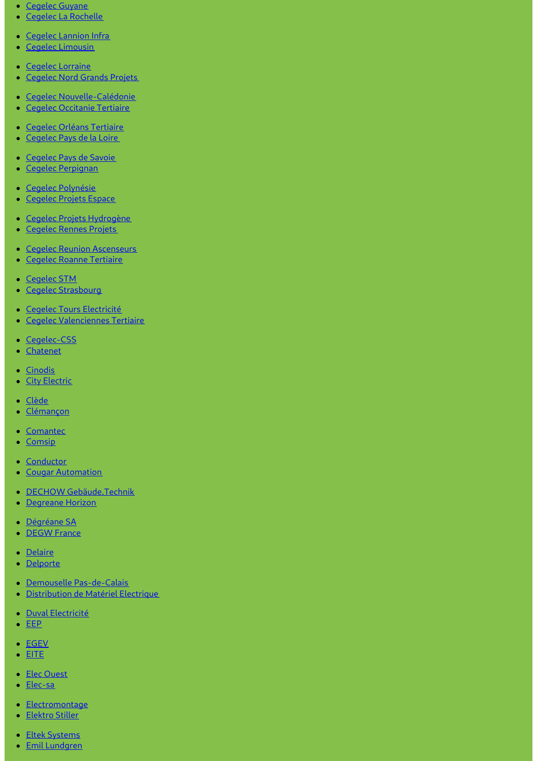- [Cegelec](https://www.cegelec-guyane.fr) Guyane
- Cegelec La [Rochelle](https://www.cegelec-la-rochelle.fr)
- Cegelec [Lannion](https://www.cegelec-lannion-infras.fr/) Infra
- Cegelec [Limousin](http://www.cegelec-limousin.fr/)
- Cegelec [Lorraine](https://www.cegelec-lorraine.com)
- [Cegelec](http://www.cegelec-nord-grands-projets.com) Nord Grands Projets
- Cegelec [Nouvelle-Calédonie](https://www.cegelec.nc)
- Cegelec [Occitanie](https://www.cegelec-occitanie-tertiaire.fr/) Tertiaire
- Cegelec Orléans [Tertiaire](https://cegelec-orleans-tertiaire.fr)
- [Cegelec](http://www.cegelec-pays-de-la-loire.fr) Pays de la Loire
- [Cegelec](https://www.cegelec-pays-de-savoie.fr/) Pays de Savoie
- Cegelec [Perpignan](https://www.cegelec-perpignan.com)
- Cegelec [Polynésie](http://www.cegelec-polynesie.com)
- [Cegelec](http://www.cegelec-projets-espace.com/) Projets Espace
- **Cegelec Projets [Hydrogène](https://www.cegelec-projets-hydrogene.fr)**
- **[Cegelec](https://www.cegelec-rennes-projets.fr/) Rennes Projets**
- Cegelec Reunion [Ascenseurs](https://www.cegelec-reunion-ascenseurs.com)
- **Cegelec Roanne [Tertiaire](https://www.cegelec-roanne-tertiaire.fr/)**
- [Cegelec](https://www.cegelec-stm.fr/) STM
- Cegelec [Strasbourg](http://www.cegelec-strasbourg.fr/)
- Cegelec Tours [Electricité](https://www.cegelec-tours-electricite.fr/)
- **Cegelec [Valenciennes](http://www.cegelec-valenciennes-tertiaire.com/) Tertiaire**
- [Cegelec-CSS](https://www.cegelec-css.com/)
- [Chatenet](https://www.chatenet-sas.fr)
- [Cinodis](https://www.cinodis.fr/)
- City [Electric](https://www.city-electric.lu)
- [Clède](https://www.clede.fr)
- [Clémançon](https://www.clemancon.fr)
- [Comantec](https://www.comantec.be/)
- [Comsip](http://www.comsip.fr/en/)
- [Conductor](https://www.conductor.as/)
- Cougar [Automation](https://www.cougar-automation.com/)
- DECHOW [Gebäude.Technik](https://www.dechow-dl-gmbh.de/)
- [Degreane](http://www.degreane-horizon.fr) Horizon
- [Dégréane](https://www.degreane.fr/) SA
- **[DEGW](https://www.degwfrance.com/) France**
- [Delaire](https://www.sas-delaire.fr/)
- [Delporte](https://www.delporte.fr/)
- Demouselle [Pas-de-Calais](https://www.demouselle-pas-de-calais.fr)
- [Distribution](https://www.dme-energies.com) de Matériel Electrique
- · Duval [Electricité](https://duval-electricite.fr/)
- $\cdot$  [EEP](https://www.eep.fr)
- [EGEV](https://www.egev.fr/)
- $\bullet$  [EITE](https://www.eite-entreprises.fr/)
- Elec [Ouest](http://www.elec-ouest.fr)
- [Elec-sa](https://www.elec-sa.fr/)
- [Electromontage](https://www.electromontage.fr/)
- **[Elektro](https://www.elektro-stiller.de) Stiller**
- Eltek [Systems](https://www.eltek-systems.com/)
- Emil [Lundgren](https://www.emillundgren.se/)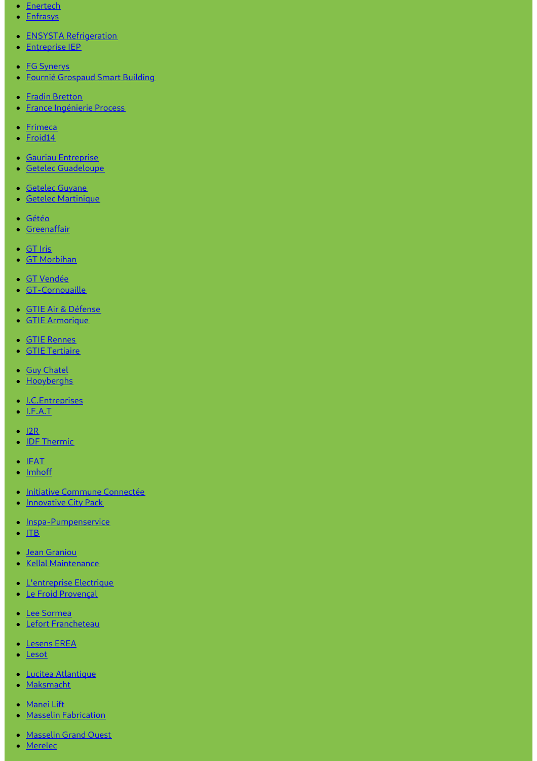- [Enertech](https://www.enertech-eut.de/)
- [Enfrasys](https://www.enfrasys.fr/)
- **ENSYSTA [Refrigeration](http://www.ensysta.be/nl/)**
- [Entreprise](http://www.i-e-p.fr) IEP
- **FG [Synerys](https://www.fgsynerys.fr)**
- Fournié [Grospaud](https://www.fgtlse.fr) Smart Building
- Fradin [Bretton](http://www.fradin-bretton.fr/)
- France [Ingénierie](https://www.france-ingenierie-process.com/) Process
- [Frimeca](https://www.frimeca.com/)
- [Froid14](http://www.froid14.com/)
- Gauriau [Entreprise](http://www.gauriau-entreprise.fr/)
- **Getelec [Guadeloupe](http://www.getelec-guadeloupe.fr/)**
- **[Getelec](https://www.getelec-guyane.fr/) Guyane**
- Getelec [Martinique](https://www.getelec-martinique.fr)
- [Gétéo](https://www.geteo.fr/)
- **[Greenaffair](https://www.greenaffair.com)**
- [GT](http://www.gt-iris.fr/) Iris
- GT [Morbihan](https://www.gt-morbihan.com)
- GT [Vendée](http://www.gt-vendee.fr/)
- [GT-Cornouaille](https://www.gt-cornouaille.fr/)
- GTIE Air & [Défense](https://www.gtie-airetdefense.fr)
- GTIE [Armorique](https://www.gtie-armorique.com)
- GTIE [Rennes](http://www.gtie-rennes.com/)
- GTIE [Tertiaire](https://www.gtie-tertiaire.com/)
- Guy [Chatel](http://guy-chatel.fr/)
- [Hooyberghs](https://www.hooyberghs.be/)
- [I.C.Entreprises](http://www.ic-entreprises.com/)
- $\bullet$  [I.F.A.T](https://www.ifat.fr)
- $\cdot$  [I2R](http://www.i2r-ingenierie.com/)
- $\overline{\phantom{a}}$  IDF [Thermic](http://www.idf-thermic.com/)
- $\cdot$  [IFAT](https://www.ifat.fr/)
- [Imhoff](https://www.imhoff.fr)
- · Initiative Commune [Connectée](https://www.initiativecommuneconnectee.fr)
- [Innovative](https://www.icpack.fr) City Pack
- [Inspa-Pumpenservice](https://www.inspa-pumpenservice.de/)
- $\bullet$  [ITB](https:)
- Jean [Graniou](https://www.jeangraniou.fr/)
- Kellal [Maintenance](https://www.kellal-maintenance.fr/)
- **[L'entreprise](http://www.lentreprise-electrique.fr/) Electrique**
- Le Froid [Provençal](https://www.lefroidprovencal.fr)
- Lee [Sormea](https://www.lee-sormea.com)
- Lefort [Francheteau](https://www.lefortfrancheteau.com/)
- [Lesens](https://www.lesens-erea.fr/) EREA
- [Lesot](https://www.lesot.fr)
- Lucitea [Atlantique](http://www.lucitea-atlantique.fr)
- [Maksmacht](https://www.maksmacht.de/)
- [Manei](https://www.manei-lift.fr) Lift
- Masselin [Fabrication](http://masselin-fabrication.fr/)
- [Masselin](http://www.masselin-grand-ouest.fr/) Grand Ouest
- [Merelec](https://www.merelec.fr)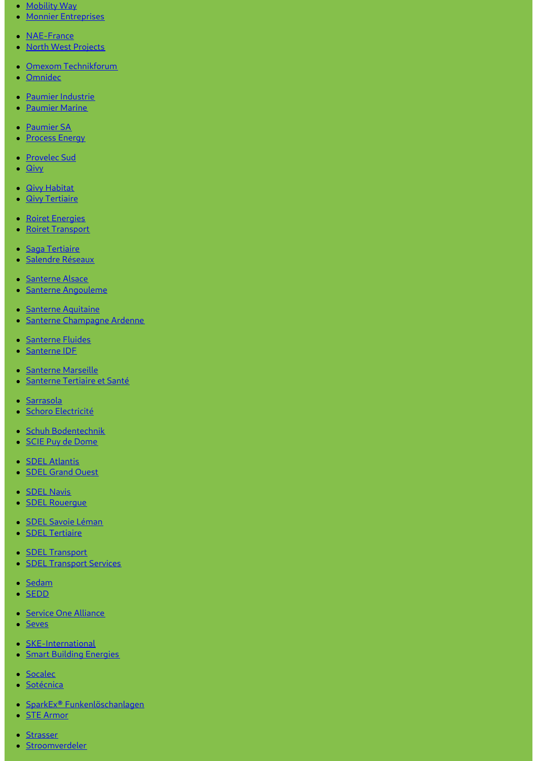- [Mobility](https://www.mobility-way.com) Way
- Monnier [Entreprises](http://www.monnier-energies.com/)
- [NAE-France](https://www.nae-france.com/)
- North West [Projects](https://www.northwestprojects.co.uk/)
- Omexom [Technikforum](https://www.omexom-technikforum.de)
- [Omnidec](https://www.omnidec.com/)
- Paumier [Industrie](https://www.paumier-industrie.fr)
- [Paumier](https://www.paumier-marine.fr) Marine
- [Paumier](https://www.paumier-sa.fr) SA
- [Process](http://www.process-energy.fr) Energy
- [Provelec](https://www.provelec-sud.fr) Sud
- [Qivy](http://www.qivy.fr/fr/)
- **Qivy [Habitat](https://www.qivy-habitat.fr)**
- **Qivy [Tertiaire](https://www.qivy-tertiaire.fr)**
- Roiret [Energies](https://www.roiret-energies.com/)
- Roiret [Transport](http://www.roiret-transport.fr/)
- · Saga [Tertiaire](http://www.saga-tertiaire.fr/)
- · [Salendre](https://www.salendre.com/) Réseaux
- [Santerne](https://www.santerne-alsace.fr) Alsace
- **Santerne [Angouleme](http://www.santerne-angouleme.fr/)**
- Santerne [Aquitaine](https://www.santerne-aquitaine.fr/)
- · Santerne [Champagne](https://www.santerne-champagne-ardenne.fr) Ardenne
- [Santerne](https://www.santerne-fluides.fr) Fluides
- [Santerne](https://www.santerne-idf.fr) IDF
- [Santerne](https://www.santerne-marseille.com/) Marseille
- **[Santerne](https://www.santerne-tertiaire-sante.fr) Tertiaire et Santé**
- · [Sarrasola](https://www.sarrasola.com/)
- · Schoro [Electricité](http://www.schoro.fr/site/presentation.htm)
- Schuh [Bodentechnik](https://www.schuh-bodentechnik.de)
- SCIE Puy de [Dome](http://www.scie-pdd.com/)
- **SDEL [Atlantis](https://www.sdel-atlantis.fr/)**
- **SDEL [Grand](http://www.sdel-grand-ouest.fr/) Ouest**
- **[SDEL](https://www.sdel-navis.fr) Navis**
- **SDEL Rouerque**
- · SDEL Savoie [Léman](https://www.sdel-savoie-leman.fr/)
- **SDEL [Tertiaire](https://www.sdel-tertiaire.fr)**
- **SDEL [Transport](https://www.sdel-transport.fr)**
- **SDEL [Transport](https://www.sdel-transport-services.fr/) Services**
- [Sedam](https://www.sedam-champagne.com)
- [SEDD](https://www.sedd.fr)
- Service One [Alliance](http://www.serviceonealliance.com/)
- [Seves](https://www.seves.fr)
- **[SKE-International](https://www.ske-international.com/)**
- Smart Building [Energies](http://www.smart-building-energies.com/fr/)
- [Socalec](http://www.socalec.fr/)
- · [Sotécnica](https://www.sotecnica.pt/pt)
- SparkEx® [Funkenlöschanlagen](https://www.funken-loeschanlage.de/)
- STE [Armor](https://www.ste-armor.fr/fr/)
- [Strasser](https://www.strasser.fr/)
- [Stroomverdeler](https://www.stroomverdeler.be/)